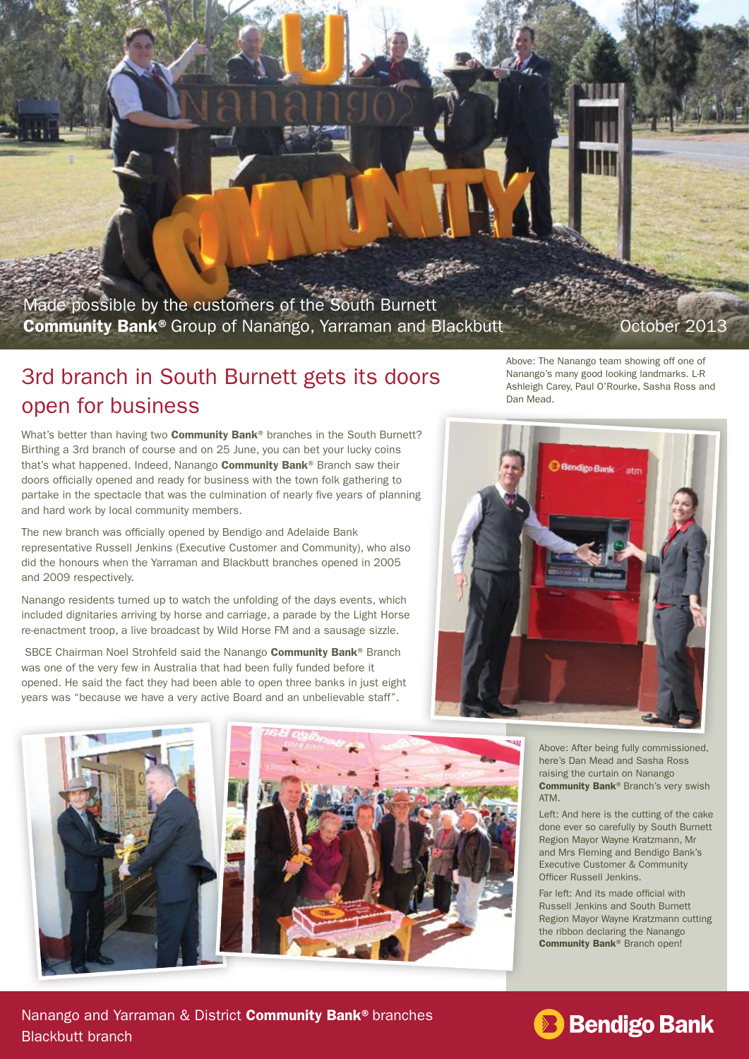Made possible by the customers of the South Burnett Community Bank® Group of Nanango, Yarraman and Blackbutt

## 3rd branch in South Burnett gets its doors open for business

What's better than having two **Community Bank**<sup>®</sup> branches in the South Burnett? Birthing a 3rd branch of course and on 25 June, you can bet your lucky coins that's what happened. Indeed. Nanango **Community Bank**® Branch saw their doors officially opened and ready for business with the town folk gathering to partake in the spectacle that was the culmination of nearly five years of planning and hard work by local community members.

The new branch was officially opened by Bendigo and Adelaide Bank representative Russell Jenkins (Executive Customer and Community), who also did the honours when the Yarraman and Blackbutt branches opened in 2005 and 2009 respectively.

Nanango residents turned up to watch the unfolding of the days events, which included dignitaries arriving by horse and carriage, a parade by the Light Horse re-enactment troop, a live broadcast by Wild Horse FM and a sausage sizzle.

SBCE Chairman Noel Strohfeld said the Nanango Community Bank® Branch was one of the very few in Australia that had been fully funded before it opened. He said the fact they had been able to open three banks in just eight years was "because we have a very active Board and an unbelievable staff".

Above: The Nanango team showing off one of Nanango's many good looking landmarks. L-R Ashleigh Carey, Paul O'Rourke, Sasha Ross and Dan Mead.

> Above: After being fully commissioned, here's Dan Mead and Sasha Ross raising the curtain on Nanango Community Bank® Branch's very swish ATM.

Left: And here is the cutting of the cake done ever so carefully by South Burnett Region Mayor Wayne Kratzmann, Mr and Mrs Fleming and Bendigo Bank's Executive Customer & Community Officer Russell Jenkins.

Far left: And its made official with Russell Jenkins and South Burnett Region Mayor Wayne Kratzmann cutting the ribbon declaring the Nanango Community Bank® Branch open!







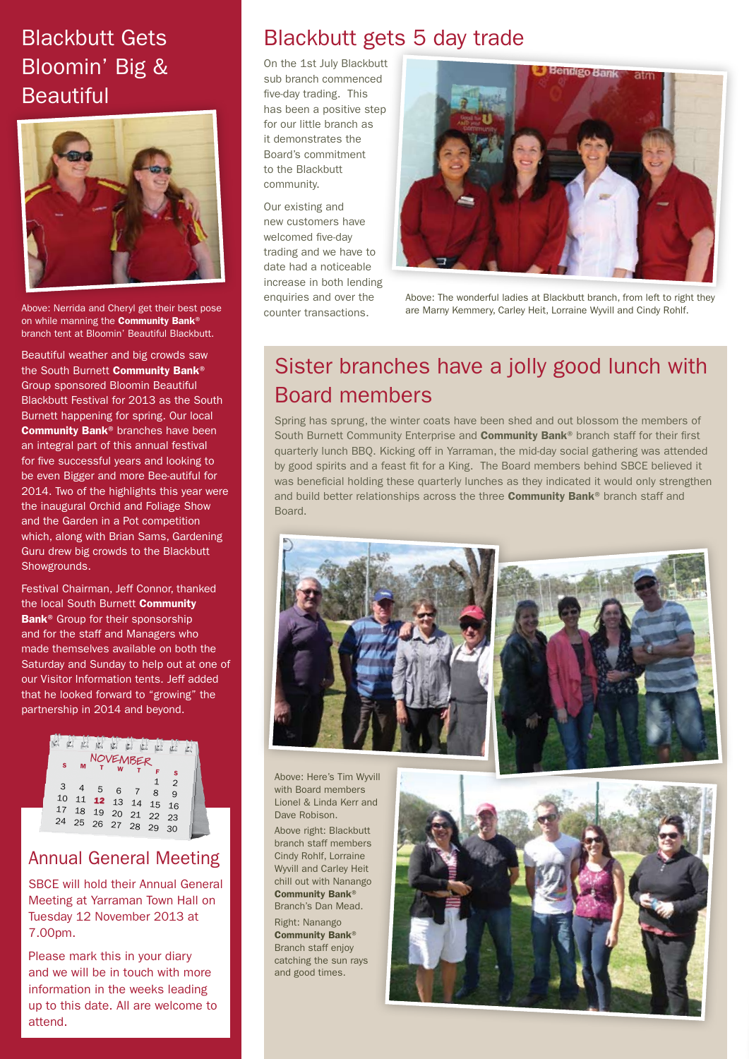# Blackbutt Gets Bloomin' Big & **Beautiful**



Above: Nerrida and Cheryl get their best pose on while manning the **Community Bank®** branch tent at Bloomin' Beautiful Blackbutt.

Beautiful weather and big crowds saw the South Burnett Community Bank® Group sponsored Bloomin Beautiful Blackbutt Festival for 2013 as the South Burnett happening for spring. Our local Community Bank® branches have been an integral part of this annual festival for five successful years and looking to be even Bigger and more Bee-autiful for 2014. Two of the highlights this year were the inaugural Orchid and Foliage Show and the Garden in a Pot competition which, along with Brian Sams, Gardening Guru drew big crowds to the Blackbutt Showgrounds.

Festival Chairman, Jeff Connor, thanked the local South Burnett Community Bank<sup>®</sup> Group for their sponsorship and for the staff and Managers who made themselves available on both the Saturday and Sunday to help out at one of our Visitor Information tents. Jeff added that he looked forward to "growing" the partnership in 2014 and beyond.



### Annual General Meeting

SBCE will hold their Annual General Meeting at Yarraman Town Hall on Tuesday 12 November 2013 at 7.00pm.

Please mark this in your diary and we will be in touch with more information in the weeks leading up to this date. All are welcome to attend.

## Blackbutt gets 5 day trade

On the 1st July Blackbutt sub branch commenced five-day trading. This has been a positive step for our little branch as it demonstrates the Board's commitment to the Blackbutt community.

Our existing and new customers have welcomed five-day trading and we have to date had a noticeable increase in both lending enquiries and over the counter transactions.



Above: The wonderful ladies at Blackbutt branch, from left to right they are Marny Kemmery, Carley Heit, Lorraine Wyvill and Cindy Rohlf.

# Sister branches have a jolly good lunch with Board members

Spring has sprung, the winter coats have been shed and out blossom the members of South Burnett Community Enterprise and **Community Bank**<sup>®</sup> branch staff for their first quarterly lunch BBQ. Kicking off in Yarraman, the mid-day social gathering was attended by good spirits and a feast fit for a King. The Board members behind SBCE believed it was beneficial holding these quarterly lunches as they indicated it would only strengthen and build better relationships across the three Community Bank® branch staff and Board.





Above: Here's Tim Wyvill with Board members Lionel & Linda Kerr and Dave Robison.

Above right: Blackbutt branch staff members Cindy Rohlf, Lorraine Wyvill and Carley Heit chill out with Nanango Community Bank® Branch's Dan Mead. Right: Nanango

Community Bank® Branch staff enjoy catching the sun rays and good times.

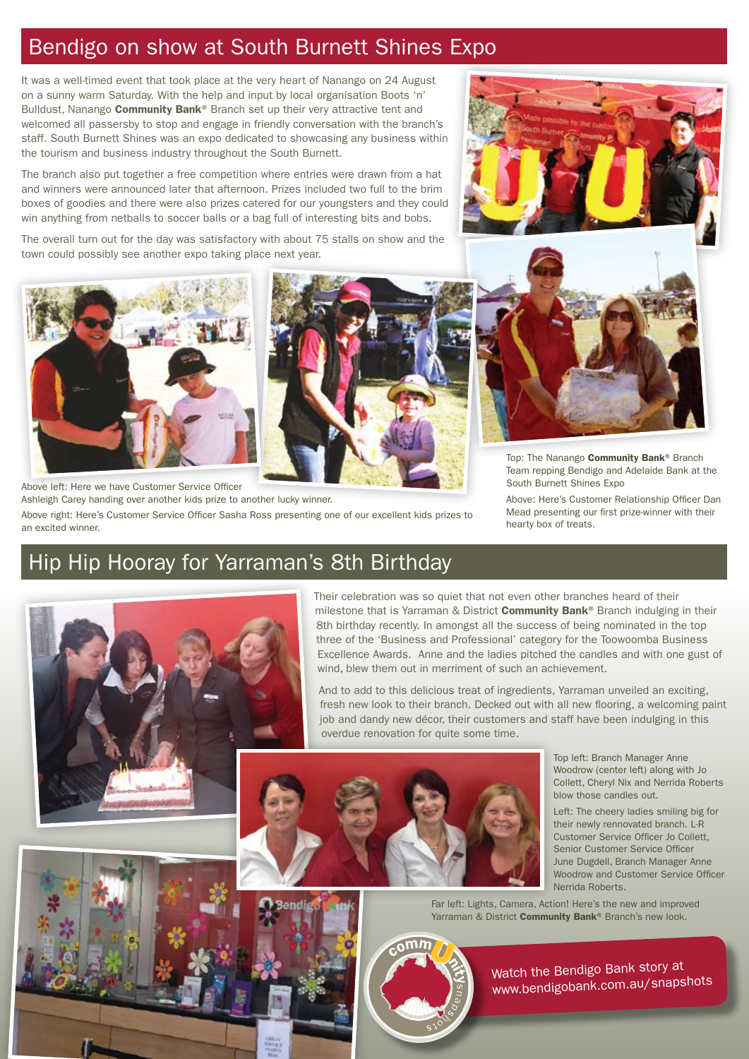### Bendigo on show at South Burnett Shines Expo

It was a well-timed event that took place at the very heart of Nanango on 24 August on a sunny warm Saturday. With the help and input by local organisation Boots 'n' Bulldust, Nanango **Community Bank**® Branch set up their very attractive tent and welcomed all passersby to stop and engage in friendly conversation with the branch's staff. South Burnett Shines was an expo dedicated to showcasing any business within the tourism and business industry throughout the South Burnett.

The branch also put together a free competition where entries were drawn from a hat and winners were announced later that afternoon. Prizes included two full to the brim boxes of goodies and there were also prizes catered for our youngsters and they could win anything from netballs to soccer balls or a bag full of interesting bits and bobs.

The overall turn out for the day was satisfactory with about 75 stalls on show and the town could possibly see another expo taking place next year.



Above left: Here we have Customer Service Officer Ashleigh Carey handing over another kids prize to another lucky winner.

Above right: Here's Customer Service Officer Sasha Ross presenting one of our excellent kids prizes to an excited winner.

## Hip Hip Hooray for Yarraman's 8th Birthday



Their celebration was so quiet that not even other branches heard of their milestone that is Yarraman & District **Community Bank**® Branch indulging in their 8th birthday recently. In amongst all the success of being nominated in the top three of the 'Business and Professional' category for the Toowoomba Business Excellence Awards. Anne and the ladies pitched the candles and with one gust of wind, blew them out in merriment of such an achievement.

And to add to this delicious treat of ingredients, Yarraman unveiled an exciting, fresh new look to their branch. Decked out with all new flooring, a welcoming paint job and dandy new décor, their customers and staff have been indulging in this overdue renovation for quite some time.



Top left: Branch Manager Anne Woodrow (center left) along with Jo Collett, Cheryl Nix and Nerrida Roberts blow those candles out.

Left: The cheery ladies smiling big for their newly rennovated branch. L-R Customer Service Officer Jo Collett, Senior Customer Service Officer June Dugdell, Branch Manager Anne Woodrow and Customer Service Officer Nerrida Roberts.

Far left: Lights, Camera, Action! Here's the new and improved Yarraman & District Community Bank® Branch's new look.



Watch the Bendigo Bank story at www.bendigobank.com.au/snapshots





Top: The Nanango Community Bank® Branch Team repping Bendigo and Adelaide Bank at the South Burnett Shines Expo

Above: Here's Customer Relationship Officer Dan Mead presenting our first prize-winner with their hearty box of treats.